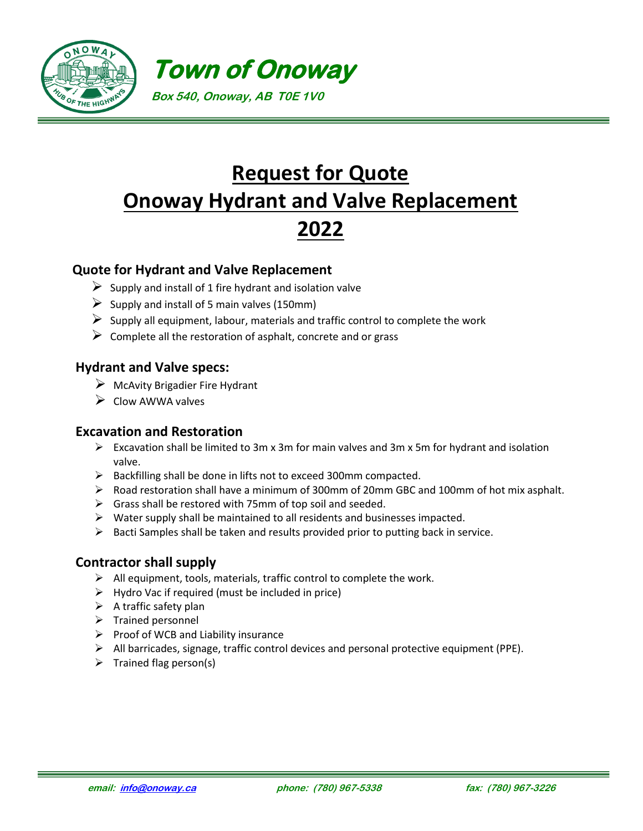



# **Request for Quote Onoway Hydrant and Valve Replacement 2022**

### **Quote for Hydrant and Valve Replacement**

- $\triangleright$  Supply and install of 1 fire hydrant and isolation valve
- $\triangleright$  Supply and install of 5 main valves (150mm)
- $\triangleright$  Supply all equipment, labour, materials and traffic control to complete the work
- $\triangleright$  Complete all the restoration of asphalt, concrete and or grass

#### **Hydrant and Valve specs:**

- $\triangleright$  McAvity Brigadier Fire Hydrant
- ➢ Clow AWWA valves

#### **Excavation and Restoration**

- $\triangleright$  Excavation shall be limited to 3m x 3m for main valves and 3m x 5m for hydrant and isolation valve.
- ➢ Backfilling shall be done in lifts not to exceed 300mm compacted.
- ➢ Road restoration shall have a minimum of 300mm of 20mm GBC and 100mm of hot mix asphalt.
- $\triangleright$  Grass shall be restored with 75mm of top soil and seeded.
- $\triangleright$  Water supply shall be maintained to all residents and businesses impacted.
- $\triangleright$  Bacti Samples shall be taken and results provided prior to putting back in service.

#### **Contractor shall supply**

- $\triangleright$  All equipment, tools, materials, traffic control to complete the work.
- $\triangleright$  Hydro Vac if required (must be included in price)
- $\triangleright$  A traffic safety plan
- ➢ Trained personnel
- $\triangleright$  Proof of WCB and Liability insurance
- $\triangleright$  All barricades, signage, traffic control devices and personal protective equipment (PPE).
- $\triangleright$  Trained flag person(s)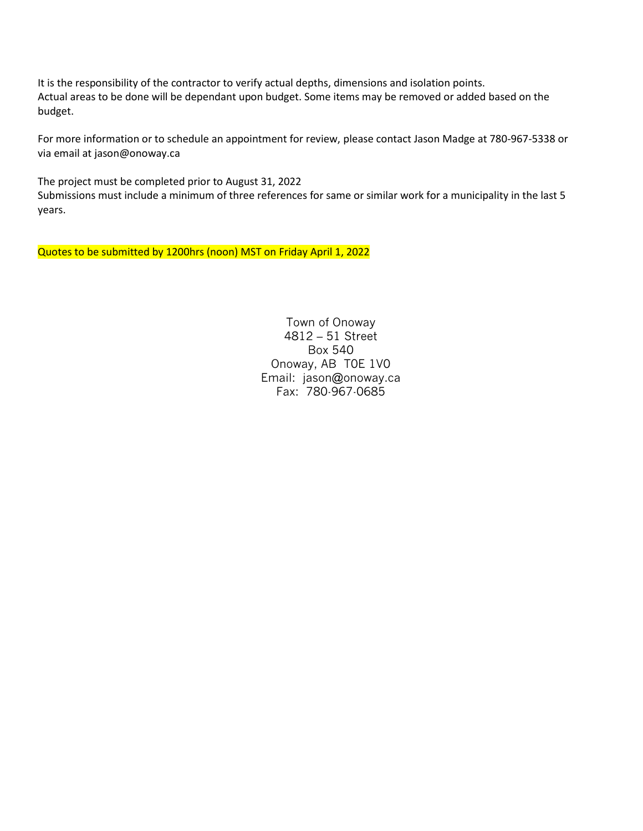It is the responsibility of the contractor to verify actual depths, dimensions and isolation points. Actual areas to be done will be dependant upon budget. Some items may be removed or added based on the budget.

For more information or to schedule an appointment for review, please contact Jason Madge at 780-967-5338 or via email at jason@onoway.ca

The project must be completed prior to August 31, 2022 Submissions must include a minimum of three references for same or similar work for a municipality in the last 5 years.

Quotes to be submitted by 1200hrs (noon) MST on Friday April 1, 2022

Town of Onoway 4812 – 51 Street Box 540 Onoway, AB T0E 1V0 Email: jason@onoway.ca Fax: 780-967-0685